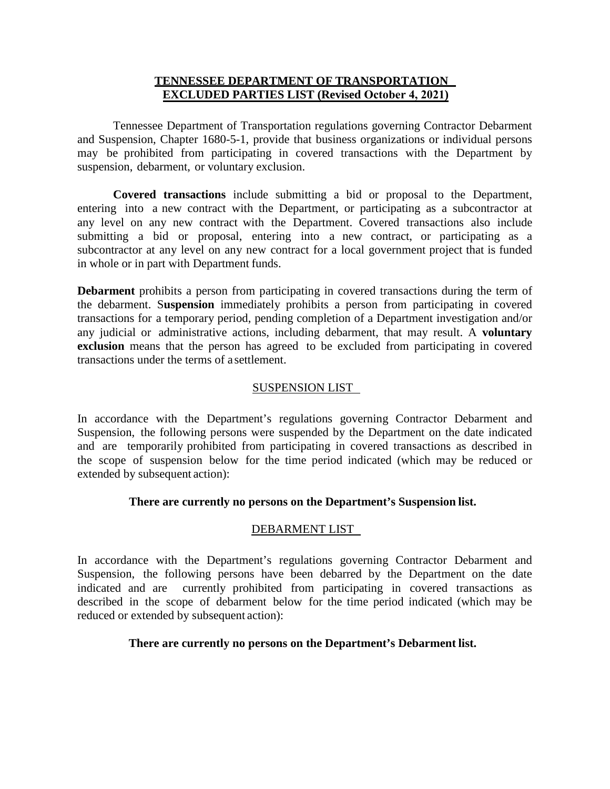### **TENNESSEE DEPARTMENT OF TRANSPORTATION EXCLUDED PARTIES LIST (Revised October 4, 2021)**

Tennessee Department of Transportation regulations governing Contractor Debarment and Suspension, Chapter 1680-5-1, provide that business organizations or individual persons may be prohibited from participating in covered transactions with the Department by suspension, debarment, or voluntary exclusion.

**Covered transactions** include submitting a bid or proposal to the Department, entering into a new contract with the Department, or participating as a subcontractor at any level on any new contract with the Department. Covered transactions also include submitting a bid or proposal, entering into a new contract, or participating as a subcontractor at any level on any new contract for a local government project that is funded in whole or in part with Department funds.

**Debarment** prohibits a person from participating in covered transactions during the term of the debarment. S**uspension** immediately prohibits a person from participating in covered transactions for a temporary period, pending completion of a Department investigation and/or any judicial or administrative actions, including debarment, that may result. A **voluntary exclusion** means that the person has agreed to be excluded from participating in covered transactions under the terms of a settlement.

### SUSPENSION LIST

In accordance with the Department's regulations governing Contractor Debarment and Suspension, the following persons were suspended by the Department on the date indicated and are temporarily prohibited from participating in covered transactions as described in the scope of suspension below for the time period indicated (which may be reduced or extended by subsequent action):

#### **There are currently no persons on the Department's Suspension list.**

#### DEBARMENT LIST

In accordance with the Department's regulations governing Contractor Debarment and Suspension, the following persons have been debarred by the Department on the date indicated and are currently prohibited from participating in covered transactions as described in the scope of debarment below for the time period indicated (which may be reduced or extended by subsequent action):

#### **There are currently no persons on the Department's Debarment list.**